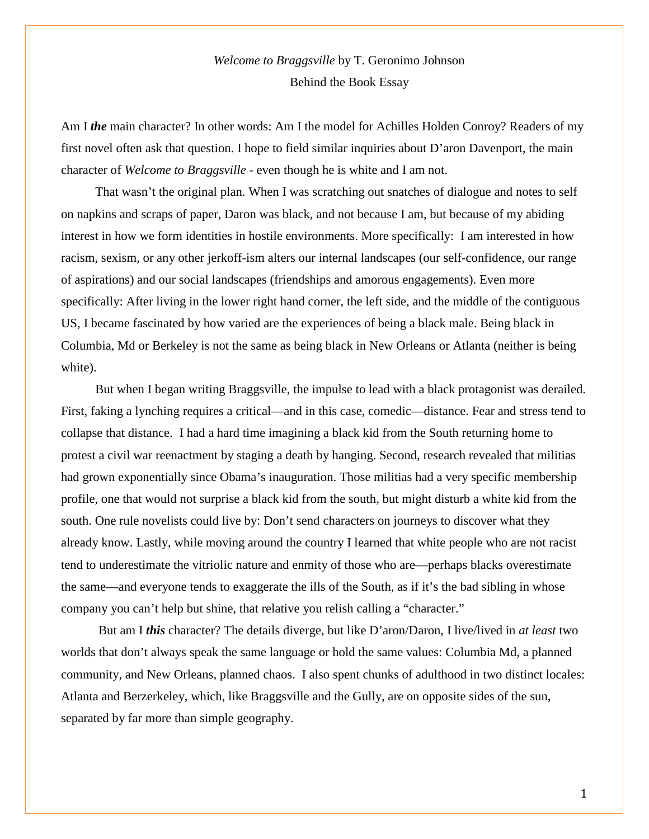## *Welcome to Braggsville* by T. Geronimo Johnson Behind the Book Essay

Am I *the* main character? In other words: Am I the model for Achilles Holden Conroy? Readers of my first novel often ask that question. I hope to field similar inquiries about D'aron Davenport, the main character of *Welcome to Braggsville* - even though he is white and I am not.

That wasn't the original plan. When I was scratching out snatches of dialogue and notes to self on napkins and scraps of paper, Daron was black, and not because I am, but because of my abiding interest in how we form identities in hostile environments. More specifically: I am interested in how racism, sexism, or any other jerkoff-ism alters our internal landscapes (our self-confidence, our range of aspirations) and our social landscapes (friendships and amorous engagements). Even more specifically: After living in the lower right hand corner, the left side, and the middle of the contiguous US, I became fascinated by how varied are the experiences of being a black male. Being black in Columbia, Md or Berkeley is not the same as being black in New Orleans or Atlanta (neither is being white).

But when I began writing Braggsville, the impulse to lead with a black protagonist was derailed. First, faking a lynching requires a critical—and in this case, comedic—distance. Fear and stress tend to collapse that distance. I had a hard time imagining a black kid from the South returning home to protest a civil war reenactment by staging a death by hanging. Second, research revealed that militias had grown exponentially since Obama's inauguration. Those militias had a very specific membership profile, one that would not surprise a black kid from the south, but might disturb a white kid from the south. One rule novelists could live by: Don't send characters on journeys to discover what they already know. Lastly, while moving around the country I learned that white people who are not racist tend to underestimate the vitriolic nature and enmity of those who are—perhaps blacks overestimate the same—and everyone tends to exaggerate the ills of the South, as if it's the bad sibling in whose company you can't help but shine, that relative you relish calling a "character."

But am I *this* character? The details diverge, but like D'aron/Daron, I live/lived in *at least* two worlds that don't always speak the same language or hold the same values: Columbia Md, a planned community, and New Orleans, planned chaos. I also spent chunks of adulthood in two distinct locales: Atlanta and Berzerkeley, which, like Braggsville and the Gully, are on opposite sides of the sun, separated by far more than simple geography.